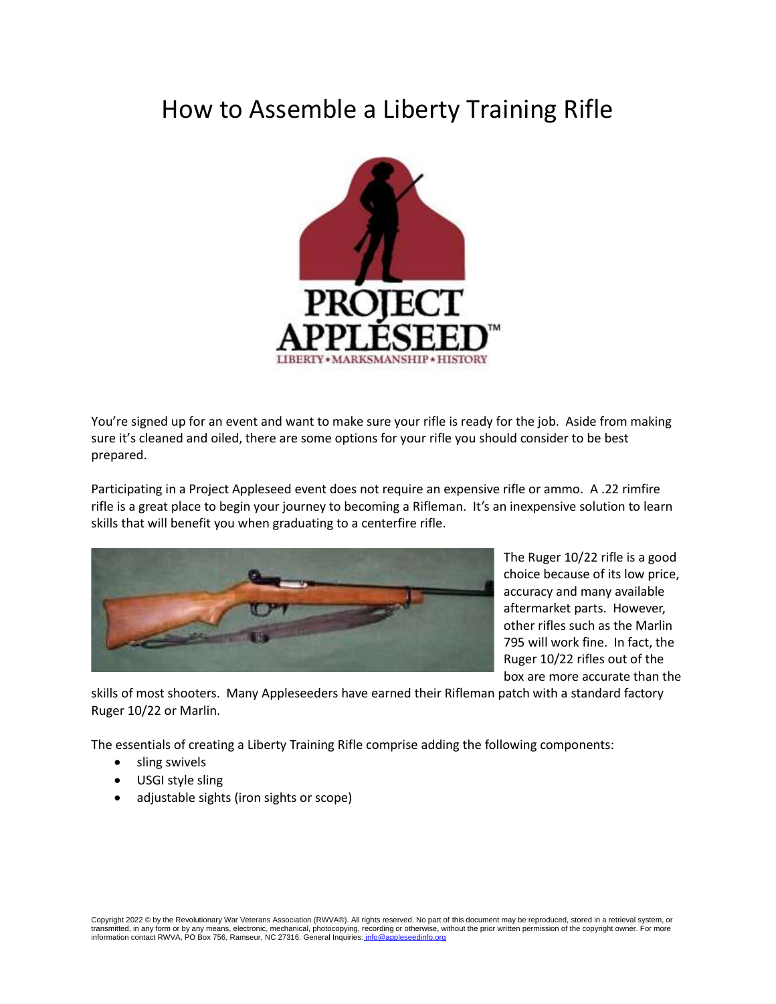# How to Assemble a Liberty Training Rifle



You're signed up for an event and want to make sure your rifle is ready for the job. Aside from making sure it's cleaned and oiled, there are some options for your rifle you should consider to be best prepared.

Participating in a Project Appleseed event does not require an expensive rifle or ammo. A .22 rimfire rifle is a great place to begin your journey to becoming a Rifleman. It's an inexpensive solution to learn skills that will benefit you when graduating to a centerfire rifle.



The Ruger 10/22 rifle is a good choice because of its low price, accuracy and many available aftermarket parts. However, other rifles such as the Marlin 795 will work fine. In fact, the Ruger 10/22 rifles out of the box are more accurate than the

skills of most shooters. Many Appleseeders have earned their Rifleman patch with a standard factory Ruger 10/22 or Marlin.

The essentials of creating a Liberty Training Rifle comprise adding the following components:

- sling swivels
- USGI style sling
- adjustable sights (iron sights or scope)

Copyright 2022 © by the Revolutionary War Veterans Association (RWVA®). All rights reserved. No part of this document may be reproduced, stored in a retrieval system, or transmitted, in any form or by any means, electronic, mechanical, photocopying, recording or otherwise, without the prior written permission of the copyright owner. For more<br>information contact RWVA, PO Box 756, Ramseur, N information contact RWVA, PO Box 756, Ramseur, NC 27316. General Inquiries: info@a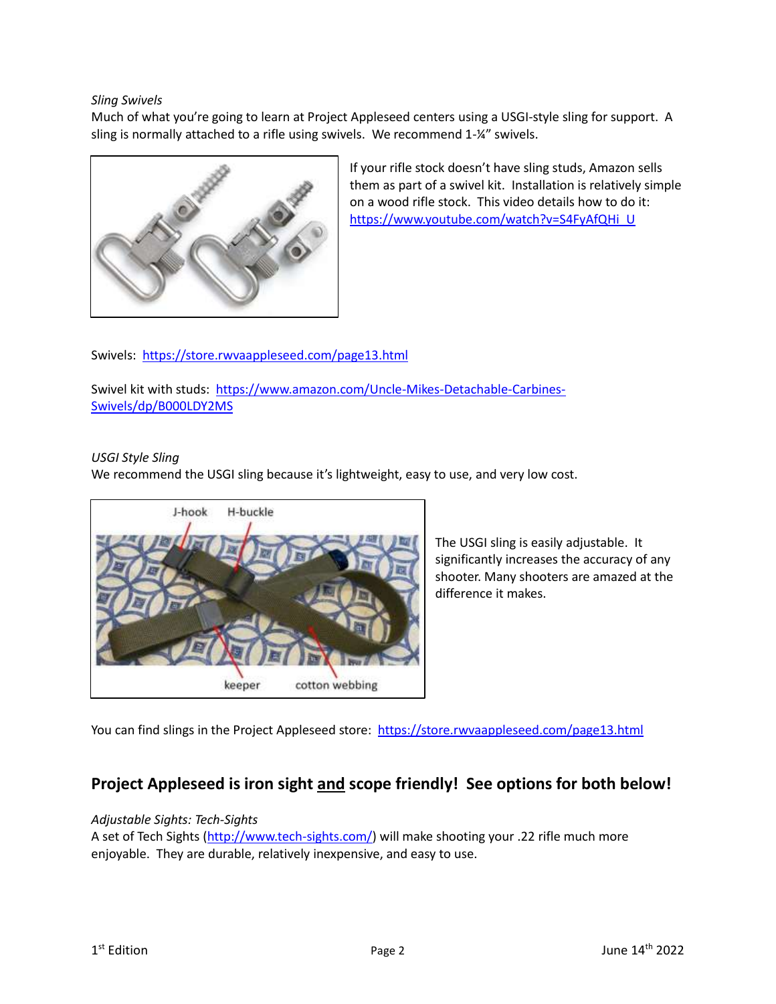## *Sling Swivels*

Much of what you're going to learn at Project Appleseed centers using a USGI-style sling for support. A sling is normally attached to a rifle using swivels. We recommend 1-¼" swivels.



If your rifle stock doesn't have sling studs, Amazon sells them as part of a swivel kit. Installation is relatively simple on a wood rifle stock. This video details how to do it: [https://www.youtube.com/watch?v=S4FyAfQHi\\_U](https://www.youtube.com/watch?v=S4FyAfQHi_U) 

Swivels:<https://store.rwvaappleseed.com/page13.html>

Swivel kit with studs: [https://www.amazon.com/Uncle-Mikes-Detachable-Carbines-](https://www.amazon.com/Uncle-Mikes-Detachable-Carbines-Swivels/dp/B000LDY2MS)[Swivels/dp/B000LDY2MS](https://www.amazon.com/Uncle-Mikes-Detachable-Carbines-Swivels/dp/B000LDY2MS)

### *USGI Style Sling*

We recommend the USGI sling because it's lightweight, easy to use, and very low cost.



The USGI sling is easily adjustable. It significantly increases the accuracy of any shooter. Many shooters are amazed at the difference it makes.

You can find slings in the Project Appleseed store: <https://store.rwvaappleseed.com/page13.html>

# **Project Appleseed is iron sight and scope friendly! See options for both below!**

### *Adjustable Sights: Tech-Sights*

A set of Tech Sights [\(http://www.tech-sights.com/\)](http://www.tech-sights.com/) will make shooting your .22 rifle much more enjoyable. They are durable, relatively inexpensive, and easy to use.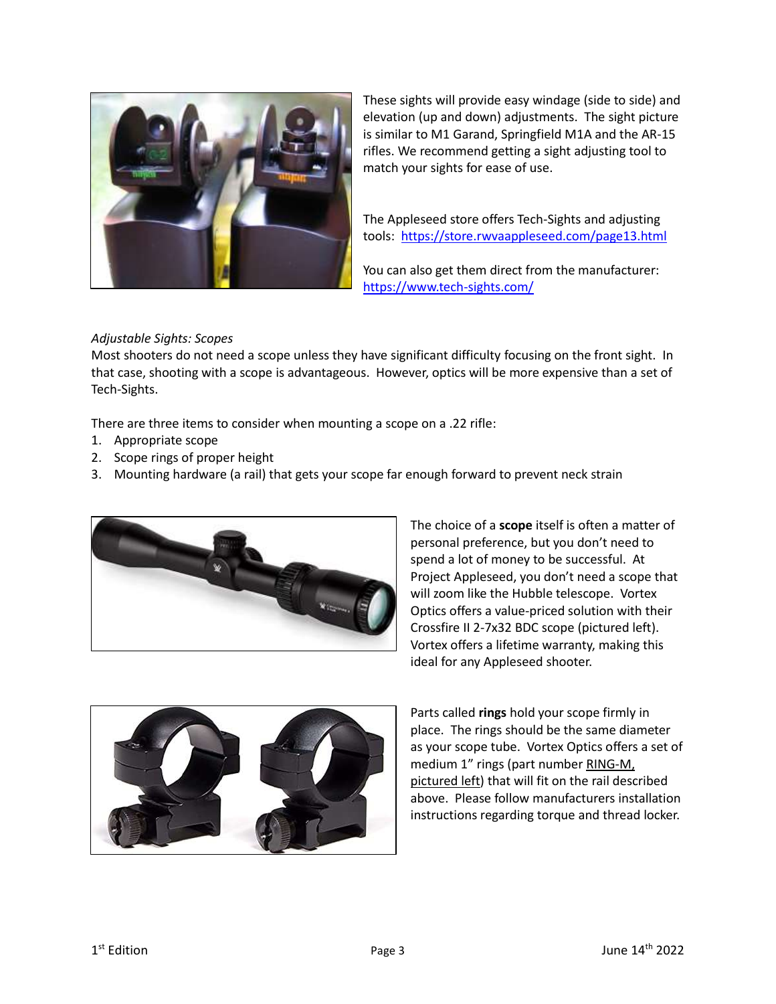

These sights will provide easy windage (side to side) and elevation (up and down) adjustments. The sight picture is similar to M1 Garand, Springfield M1A and the AR-15 rifles. We recommend getting a sight adjusting tool to match your sights for ease of use.

The Appleseed store offers Tech-Sights and adjusting tools:<https://store.rwvaappleseed.com/page13.html>

You can also get them direct from the manufacturer: <https://www.tech-sights.com/>

## *Adjustable Sights: Scopes*

Most shooters do not need a scope unless they have significant difficulty focusing on the front sight. In that case, shooting with a scope is advantageous. However, optics will be more expensive than a set of Tech-Sights.

There are three items to consider when mounting a scope on a .22 rifle:

- 1. Appropriate scope
- 2. Scope rings of proper height
- 3. Mounting hardware (a rail) that gets your scope far enough forward to prevent neck strain



The choice of a **scope** itself is often a matter of personal preference, but you don't need to spend a lot of money to be successful. At Project Appleseed, you don't need a scope that will zoom like the Hubble telescope. Vortex Optics offers a value-priced solution with their Crossfire II 2-7x32 BDC scope (pictured left). Vortex offers a lifetime warranty, making this ideal for any Appleseed shooter.



Parts called **rings** hold your scope firmly in place. The rings should be the same diameter as your scope tube. Vortex Optics offers a set of medium 1" rings (part number RING-M, pictured left) that will fit on the rail described above. Please follow manufacturers installation instructions regarding torque and thread locker.